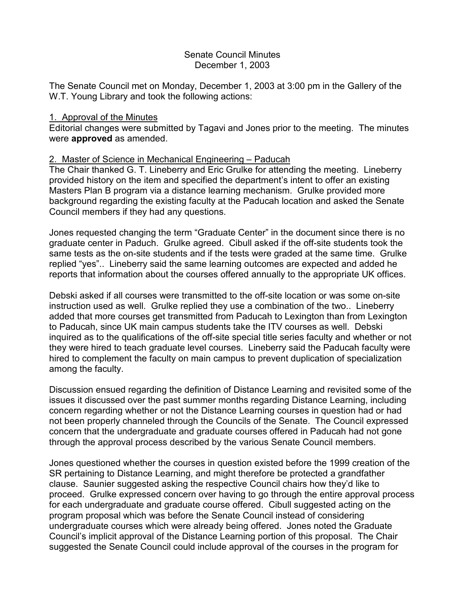## Senate Council Minutes December 1, 2003

The Senate Council met on Monday, December 1, 2003 at 3:00 pm in the Gallery of the W.T. Young Library and took the following actions:

### 1. Approval of the Minutes

Editorial changes were submitted by Tagavi and Jones prior to the meeting. The minutes were **approved** as amended.

# 2. Master of Science in Mechanical Engineering – Paducah

The Chair thanked G. T. Lineberry and Eric Grulke for attending the meeting. Lineberry provided history on the item and specified the department's intent to offer an existing Masters Plan B program via a distance learning mechanism. Grulke provided more background regarding the existing faculty at the Paducah location and asked the Senate Council members if they had any questions.

Jones requested changing the term "Graduate Center" in the document since there is no graduate center in Paduch. Grulke agreed. Cibull asked if the off-site students took the same tests as the on-site students and if the tests were graded at the same time. Grulke replied "yes".. Lineberry said the same learning outcomes are expected and added he reports that information about the courses offered annually to the appropriate UK offices.

Debski asked if all courses were transmitted to the off-site location or was some on-site instruction used as well. Grulke replied they use a combination of the two.. Lineberry added that more courses get transmitted from Paducah to Lexington than from Lexington to Paducah, since UK main campus students take the ITV courses as well. Debski inquired as to the qualifications of the off-site special title series faculty and whether or not they were hired to teach graduate level courses. Lineberry said the Paducah faculty were hired to complement the faculty on main campus to prevent duplication of specialization among the faculty.

Discussion ensued regarding the definition of Distance Learning and revisited some of the issues it discussed over the past summer months regarding Distance Learning, including concern regarding whether or not the Distance Learning courses in question had or had not been properly channeled through the Councils of the Senate. The Council expressed concern that the undergraduate and graduate courses offered in Paducah had not gone through the approval process described by the various Senate Council members.

Jones questioned whether the courses in question existed before the 1999 creation of the SR pertaining to Distance Learning, and might therefore be protected a grandfather clause. Saunier suggested asking the respective Council chairs how they'd like to proceed. Grulke expressed concern over having to go through the entire approval process for each undergraduate and graduate course offered. Cibull suggested acting on the program proposal which was before the Senate Council instead of considering undergraduate courses which were already being offered. Jones noted the Graduate Council's implicit approval of the Distance Learning portion of this proposal. The Chair suggested the Senate Council could include approval of the courses in the program for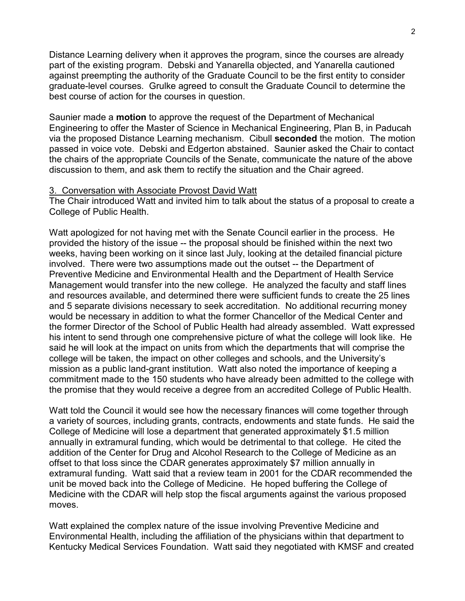Distance Learning delivery when it approves the program, since the courses are already part of the existing program. Debski and Yanarella objected, and Yanarella cautioned against preempting the authority of the Graduate Council to be the first entity to consider graduate-level courses. Grulke agreed to consult the Graduate Council to determine the best course of action for the courses in question.

Saunier made a **motion** to approve the request of the Department of Mechanical Engineering to offer the Master of Science in Mechanical Engineering, Plan B, in Paducah via the proposed Distance Learning mechanism. Cibull **seconded** the motion. The motion passed in voice vote. Debski and Edgerton abstained. Saunier asked the Chair to contact the chairs of the appropriate Councils of the Senate, communicate the nature of the above discussion to them, and ask them to rectify the situation and the Chair agreed.

#### 3. Conversation with Associate Provost David Watt

The Chair introduced Watt and invited him to talk about the status of a proposal to create a College of Public Health.

Watt apologized for not having met with the Senate Council earlier in the process. He provided the history of the issue -- the proposal should be finished within the next two weeks, having been working on it since last July, looking at the detailed financial picture involved. There were two assumptions made out the outset -- the Department of Preventive Medicine and Environmental Health and the Department of Health Service Management would transfer into the new college. He analyzed the faculty and staff lines and resources available, and determined there were sufficient funds to create the 25 lines and 5 separate divisions necessary to seek accreditation. No additional recurring money would be necessary in addition to what the former Chancellor of the Medical Center and the former Director of the School of Public Health had already assembled. Watt expressed his intent to send through one comprehensive picture of what the college will look like. He said he will look at the impact on units from which the departments that will comprise the college will be taken, the impact on other colleges and schools, and the University's mission as a public land-grant institution. Watt also noted the importance of keeping a commitment made to the 150 students who have already been admitted to the college with the promise that they would receive a degree from an accredited College of Public Health.

Watt told the Council it would see how the necessary finances will come together through a variety of sources, including grants, contracts, endowments and state funds. He said the College of Medicine will lose a department that generated approximately \$1.5 million annually in extramural funding, which would be detrimental to that college. He cited the addition of the Center for Drug and Alcohol Research to the College of Medicine as an offset to that loss since the CDAR generates approximately \$7 million annually in extramural funding. Watt said that a review team in 2001 for the CDAR recommended the unit be moved back into the College of Medicine. He hoped buffering the College of Medicine with the CDAR will help stop the fiscal arguments against the various proposed moves.

Watt explained the complex nature of the issue involving Preventive Medicine and Environmental Health, including the affiliation of the physicians within that department to Kentucky Medical Services Foundation. Watt said they negotiated with KMSF and created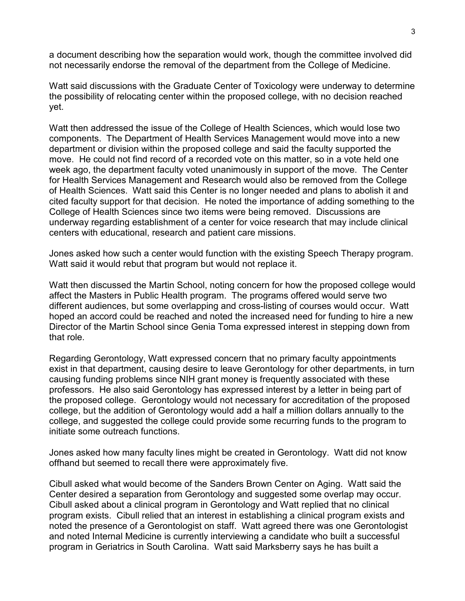a document describing how the separation would work, though the committee involved did not necessarily endorse the removal of the department from the College of Medicine.

Watt said discussions with the Graduate Center of Toxicology were underway to determine the possibility of relocating center within the proposed college, with no decision reached yet.

Watt then addressed the issue of the College of Health Sciences, which would lose two components. The Department of Health Services Management would move into a new department or division within the proposed college and said the faculty supported the move. He could not find record of a recorded vote on this matter, so in a vote held one week ago, the department faculty voted unanimously in support of the move. The Center for Health Services Management and Research would also be removed from the College of Health Sciences. Watt said this Center is no longer needed and plans to abolish it and cited faculty support for that decision. He noted the importance of adding something to the College of Health Sciences since two items were being removed. Discussions are underway regarding establishment of a center for voice research that may include clinical centers with educational, research and patient care missions.

Jones asked how such a center would function with the existing Speech Therapy program. Watt said it would rebut that program but would not replace it.

Watt then discussed the Martin School, noting concern for how the proposed college would affect the Masters in Public Health program. The programs offered would serve two different audiences, but some overlapping and cross-listing of courses would occur. Watt hoped an accord could be reached and noted the increased need for funding to hire a new Director of the Martin School since Genia Toma expressed interest in stepping down from that role.

Regarding Gerontology, Watt expressed concern that no primary faculty appointments exist in that department, causing desire to leave Gerontology for other departments, in turn causing funding problems since NIH grant money is frequently associated with these professors. He also said Gerontology has expressed interest by a letter in being part of the proposed college. Gerontology would not necessary for accreditation of the proposed college, but the addition of Gerontology would add a half a million dollars annually to the college, and suggested the college could provide some recurring funds to the program to initiate some outreach functions.

Jones asked how many faculty lines might be created in Gerontology. Watt did not know offhand but seemed to recall there were approximately five.

Cibull asked what would become of the Sanders Brown Center on Aging. Watt said the Center desired a separation from Gerontology and suggested some overlap may occur. Cibull asked about a clinical program in Gerontology and Watt replied that no clinical program exists. Cibull relied that an interest in establishing a clinical program exists and noted the presence of a Gerontologist on staff. Watt agreed there was one Gerontologist and noted Internal Medicine is currently interviewing a candidate who built a successful program in Geriatrics in South Carolina. Watt said Marksberry says he has built a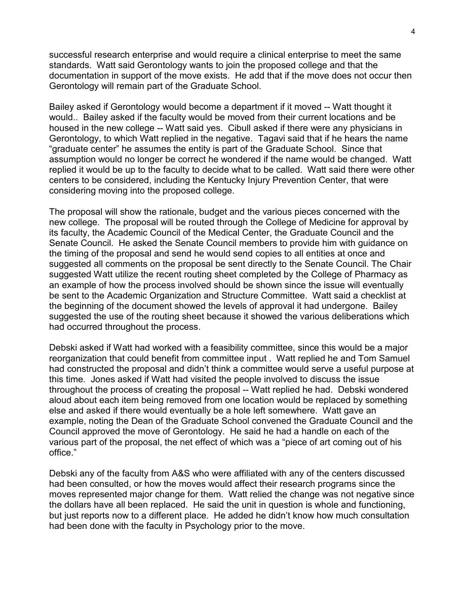successful research enterprise and would require a clinical enterprise to meet the same standards. Watt said Gerontology wants to join the proposed college and that the documentation in support of the move exists. He add that if the move does not occur then Gerontology will remain part of the Graduate School.

Bailey asked if Gerontology would become a department if it moved -- Watt thought it would.. Bailey asked if the faculty would be moved from their current locations and be housed in the new college -- Watt said yes. Cibull asked if there were any physicians in Gerontology, to which Watt replied in the negative. Tagavi said that if he hears the name "graduate center" he assumes the entity is part of the Graduate School. Since that assumption would no longer be correct he wondered if the name would be changed. Watt replied it would be up to the faculty to decide what to be called. Watt said there were other centers to be considered, including the Kentucky Injury Prevention Center, that were considering moving into the proposed college.

The proposal will show the rationale, budget and the various pieces concerned with the new college. The proposal will be routed through the College of Medicine for approval by its faculty, the Academic Council of the Medical Center, the Graduate Council and the Senate Council. He asked the Senate Council members to provide him with guidance on the timing of the proposal and send he would send copies to all entities at once and suggested all comments on the proposal be sent directly to the Senate Council. The Chair suggested Watt utilize the recent routing sheet completed by the College of Pharmacy as an example of how the process involved should be shown since the issue will eventually be sent to the Academic Organization and Structure Committee. Watt said a checklist at the beginning of the document showed the levels of approval it had undergone. Bailey suggested the use of the routing sheet because it showed the various deliberations which had occurred throughout the process.

Debski asked if Watt had worked with a feasibility committee, since this would be a major reorganization that could benefit from committee input . Watt replied he and Tom Samuel had constructed the proposal and didn't think a committee would serve a useful purpose at this time. Jones asked if Watt had visited the people involved to discuss the issue throughout the process of creating the proposal -- Watt replied he had. Debski wondered aloud about each item being removed from one location would be replaced by something else and asked if there would eventually be a hole left somewhere. Watt gave an example, noting the Dean of the Graduate School convened the Graduate Council and the Council approved the move of Gerontology. He said he had a handle on each of the various part of the proposal, the net effect of which was a "piece of art coming out of his office."

Debski any of the faculty from A&S who were affiliated with any of the centers discussed had been consulted, or how the moves would affect their research programs since the moves represented major change for them. Watt relied the change was not negative since the dollars have all been replaced. He said the unit in question is whole and functioning, but just reports now to a different place. He added he didn't know how much consultation had been done with the faculty in Psychology prior to the move.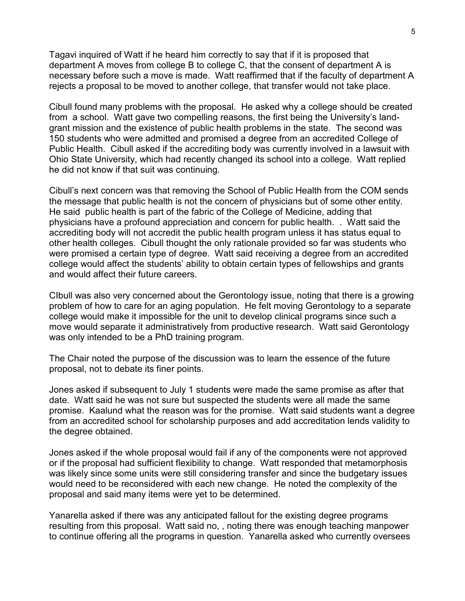Tagavi inquired of Watt if he heard him correctly to say that if it is proposed that department A moves from college B to college C, that the consent of department A is necessary before such a move is made. Watt reaffirmed that if the faculty of department A rejects a proposal to be moved to another college, that transfer would not take place.

Cibull found many problems with the proposal. He asked why a college should be created from a school. Watt gave two compelling reasons, the first being the University's landgrant mission and the existence of public health problems in the state. The second was 150 students who were admitted and promised a degree from an accredited College of Public Health. Cibull asked if the accrediting body was currently involved in a lawsuit with Ohio State University, which had recently changed its school into a college. Watt replied he did not know if that suit was continuing.

Cibull's next concern was that removing the School of Public Health from the COM sends the message that public health is not the concern of physicians but of some other entity. He said public health is part of the fabric of the College of Medicine, adding that physicians have a profound appreciation and concern for public health. . Watt said the accrediting body will not accredit the public health program unless it has status equal to other health colleges. Cibull thought the only rationale provided so far was students who were promised a certain type of degree. Watt said receiving a degree from an accredited college would affect the students' ability to obtain certain types of fellowships and grants and would affect their future careers.

CIbull was also very concerned about the Gerontology issue, noting that there is a growing problem of how to care for an aging population. He felt moving Gerontology to a separate college would make it impossible for the unit to develop clinical programs since such a move would separate it administratively from productive research. Watt said Gerontology was only intended to be a PhD training program.

The Chair noted the purpose of the discussion was to learn the essence of the future proposal, not to debate its finer points.

Jones asked if subsequent to July 1 students were made the same promise as after that date. Watt said he was not sure but suspected the students were all made the same promise. Kaalund what the reason was for the promise. Watt said students want a degree from an accredited school for scholarship purposes and add accreditation lends validity to the degree obtained.

Jones asked if the whole proposal would fail if any of the components were not approved or if the proposal had sufficient flexibility to change. Watt responded that metamorphosis was likely since some units were still considering transfer and since the budgetary issues would need to be reconsidered with each new change. He noted the complexity of the proposal and said many items were yet to be determined.

Yanarella asked if there was any anticipated fallout for the existing degree programs resulting from this proposal. Watt said no, , noting there was enough teaching manpower to continue offering all the programs in question. Yanarella asked who currently oversees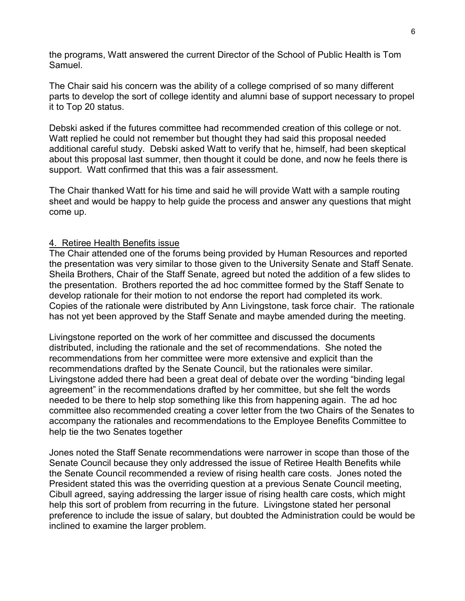the programs, Watt answered the current Director of the School of Public Health is Tom Samuel.

The Chair said his concern was the ability of a college comprised of so many different parts to develop the sort of college identity and alumni base of support necessary to propel it to Top 20 status.

Debski asked if the futures committee had recommended creation of this college or not. Watt replied he could not remember but thought they had said this proposal needed additional careful study. Debski asked Watt to verify that he, himself, had been skeptical about this proposal last summer, then thought it could be done, and now he feels there is support. Watt confirmed that this was a fair assessment.

The Chair thanked Watt for his time and said he will provide Watt with a sample routing sheet and would be happy to help guide the process and answer any questions that might come up.

## 4. Retiree Health Benefits issue

The Chair attended one of the forums being provided by Human Resources and reported the presentation was very similar to those given to the University Senate and Staff Senate. Sheila Brothers, Chair of the Staff Senate, agreed but noted the addition of a few slides to the presentation. Brothers reported the ad hoc committee formed by the Staff Senate to develop rationale for their motion to not endorse the report had completed its work. Copies of the rationale were distributed by Ann Livingstone, task force chair. The rationale has not yet been approved by the Staff Senate and maybe amended during the meeting.

Livingstone reported on the work of her committee and discussed the documents distributed, including the rationale and the set of recommendations. She noted the recommendations from her committee were more extensive and explicit than the recommendations drafted by the Senate Council, but the rationales were similar. Livingstone added there had been a great deal of debate over the wording "binding legal agreement" in the recommendations drafted by her committee, but she felt the words needed to be there to help stop something like this from happening again. The ad hoc committee also recommended creating a cover letter from the two Chairs of the Senates to accompany the rationales and recommendations to the Employee Benefits Committee to help tie the two Senates together

Jones noted the Staff Senate recommendations were narrower in scope than those of the Senate Council because they only addressed the issue of Retiree Health Benefits while the Senate Council recommended a review of rising health care costs. Jones noted the President stated this was the overriding question at a previous Senate Council meeting, Cibull agreed, saying addressing the larger issue of rising health care costs, which might help this sort of problem from recurring in the future. Livingstone stated her personal preference to include the issue of salary, but doubted the Administration could be would be inclined to examine the larger problem.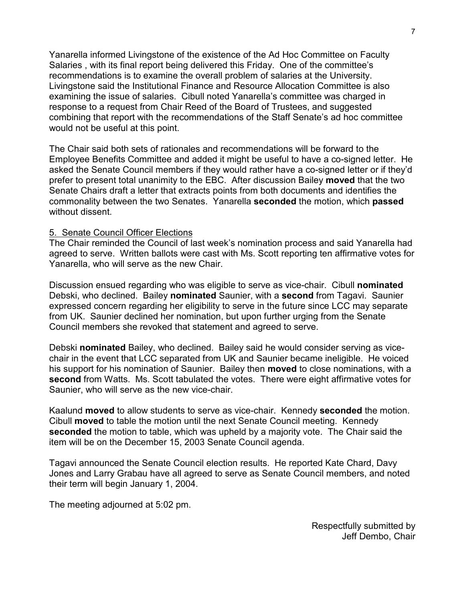Yanarella informed Livingstone of the existence of the Ad Hoc Committee on Faculty Salaries , with its final report being delivered this Friday. One of the committee's recommendations is to examine the overall problem of salaries at the University. Livingstone said the Institutional Finance and Resource Allocation Committee is also examining the issue of salaries. Cibull noted Yanarella's committee was charged in response to a request from Chair Reed of the Board of Trustees, and suggested combining that report with the recommendations of the Staff Senate's ad hoc committee would not be useful at this point.

The Chair said both sets of rationales and recommendations will be forward to the Employee Benefits Committee and added it might be useful to have a co-signed letter. He asked the Senate Council members if they would rather have a co-signed letter or if they'd prefer to present total unanimity to the EBC. After discussion Bailey **moved** that the two Senate Chairs draft a letter that extracts points from both documents and identifies the commonality between the two Senates. Yanarella **seconded** the motion, which **passed** without dissent.

#### 5. Senate Council Officer Elections

The Chair reminded the Council of last week's nomination process and said Yanarella had agreed to serve. Written ballots were cast with Ms. Scott reporting ten affirmative votes for Yanarella, who will serve as the new Chair.

Discussion ensued regarding who was eligible to serve as vice-chair. Cibull **nominated** Debski, who declined. Bailey **nominated** Saunier, with a **second** from Tagavi. Saunier expressed concern regarding her eligibility to serve in the future since LCC may separate from UK. Saunier declined her nomination, but upon further urging from the Senate Council members she revoked that statement and agreed to serve.

Debski **nominated** Bailey, who declined. Bailey said he would consider serving as vicechair in the event that LCC separated from UK and Saunier became ineligible. He voiced his support for his nomination of Saunier. Bailey then **moved** to close nominations, with a **second** from Watts. Ms. Scott tabulated the votes. There were eight affirmative votes for Saunier, who will serve as the new vice-chair.

Kaalund **moved** to allow students to serve as vice-chair. Kennedy **seconded** the motion. Cibull **moved** to table the motion until the next Senate Council meeting. Kennedy **seconded** the motion to table, which was upheld by a majority vote. The Chair said the item will be on the December 15, 2003 Senate Council agenda.

Tagavi announced the Senate Council election results. He reported Kate Chard, Davy Jones and Larry Grabau have all agreed to serve as Senate Council members, and noted their term will begin January 1, 2004.

The meeting adjourned at 5:02 pm.

Respectfully submitted by Jeff Dembo, Chair